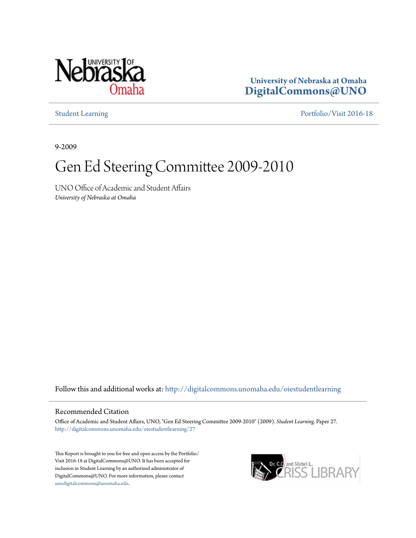

**University of Nebraska at Omaha [DigitalCommons@UNO](http://digitalcommons.unomaha.edu?utm_source=digitalcommons.unomaha.edu%2Foiestudentlearning%2F27&utm_medium=PDF&utm_campaign=PDFCoverPages)**

[Student Learning](http://digitalcommons.unomaha.edu/oiestudentlearning?utm_source=digitalcommons.unomaha.edu%2Foiestudentlearning%2F27&utm_medium=PDF&utm_campaign=PDFCoverPages) [Portfolio/Visit 2016-18](http://digitalcommons.unomaha.edu/oieportfolio?utm_source=digitalcommons.unomaha.edu%2Foiestudentlearning%2F27&utm_medium=PDF&utm_campaign=PDFCoverPages)

9-2009

## Gen Ed Steering Committee 2009-2010

UNO Office of Academic and Student Affairs *University of Nebraska at Omaha*

Follow this and additional works at: [http://digitalcommons.unomaha.edu/oiestudentlearning](http://digitalcommons.unomaha.edu/oiestudentlearning?utm_source=digitalcommons.unomaha.edu%2Foiestudentlearning%2F27&utm_medium=PDF&utm_campaign=PDFCoverPages)

## Recommended Citation

Office of Academic and Student Affairs, UNO, "Gen Ed Steering Committee 2009-2010" (2009). *Student Learning.* Paper 27. [http://digitalcommons.unomaha.edu/oiestudentlearning/27](http://digitalcommons.unomaha.edu/oiestudentlearning/27?utm_source=digitalcommons.unomaha.edu%2Foiestudentlearning%2F27&utm_medium=PDF&utm_campaign=PDFCoverPages)

This Report is brought to you for free and open access by the Portfolio/ Visit 2016-18 at DigitalCommons@UNO. It has been accepted for inclusion in Student Learning by an authorized administrator of DigitalCommons@UNO. For more information, please contact [unodigitalcommons@unomaha.edu](mailto:unodigitalcommons@unomaha.edu).